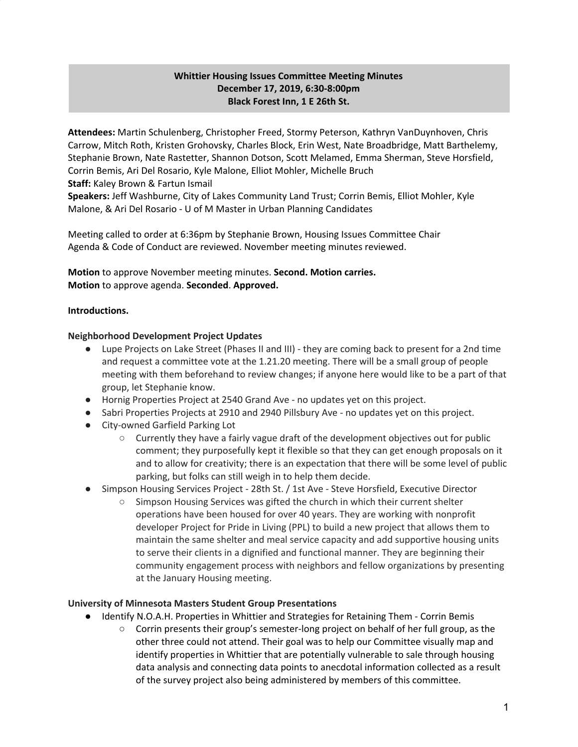# **Whittier Housing Issues Committee Meeting Minutes December 17, 2019, 6:30-8:00pm Black Forest Inn, 1 E 26th St.**

**Attendees:** Martin Schulenberg, Christopher Freed, Stormy Peterson, Kathryn VanDuynhoven, Chris Carrow, Mitch Roth, Kristen Grohovsky, Charles Block, Erin West, Nate Broadbridge, Matt Barthelemy, Stephanie Brown, Nate Rastetter, Shannon Dotson, Scott Melamed, Emma Sherman, Steve Horsfield, Corrin Bemis, Ari Del Rosario, Kyle Malone, Elliot Mohler, Michelle Bruch **Staff:** Kaley Brown & Fartun Ismail

**Speakers:** Jeff Washburne, City of Lakes Community Land Trust; Corrin Bemis, Elliot Mohler, Kyle Malone, & Ari Del Rosario - U of M Master in Urban Planning Candidates

Meeting called to order at 6:36pm by Stephanie Brown, Housing Issues Committee Chair Agenda & Code of Conduct are reviewed. November meeting minutes reviewed.

**Motion** to approve November meeting minutes. **Second. Motion carries. Motion** to approve agenda. **Seconded**. **Approved.**

### **Introductions.**

#### **Neighborhood Development Project Updates**

- Lupe Projects on Lake Street (Phases II and III) they are coming back to present for a 2nd time and request a committee vote at the 1.21.20 meeting. There will be a small group of people meeting with them beforehand to review changes; if anyone here would like to be a part of that group, let Stephanie know.
- Hornig Properties Project at 2540 Grand Ave no updates yet on this project.
- Sabri Properties Projects at 2910 and 2940 Pillsbury Ave no updates yet on this project.
- City-owned Garfield Parking Lot
	- $\circ$  Currently they have a fairly vague draft of the development objectives out for public comment; they purposefully kept it flexible so that they can get enough proposals on it and to allow for creativity; there is an expectation that there will be some level of public parking, but folks can still weigh in to help them decide.
- Simpson Housing Services Project 28th St. / 1st Ave Steve Horsfield, Executive Director
	- Simpson Housing Services was gifted the church in which their current shelter operations have been housed for over 40 years. They are working with nonprofit developer Project for Pride in Living (PPL) to build a new project that allows them to maintain the same shelter and meal service capacity and add supportive housing units to serve their clients in a dignified and functional manner. They are beginning their community engagement process with neighbors and fellow organizations by presenting at the January Housing meeting.

#### **University of Minnesota Masters Student Group Presentations**

- Identify N.O.A.H. Properties in Whittier and Strategies for Retaining Them Corrin Bemis
	- $\circ$  Corrin presents their group's semester-long project on behalf of her full group, as the other three could not attend. Their goal was to help our Committee visually map and identify properties in Whittier that are potentially vulnerable to sale through housing data analysis and connecting data points to anecdotal information collected as a result of the survey project also being administered by members of this committee.